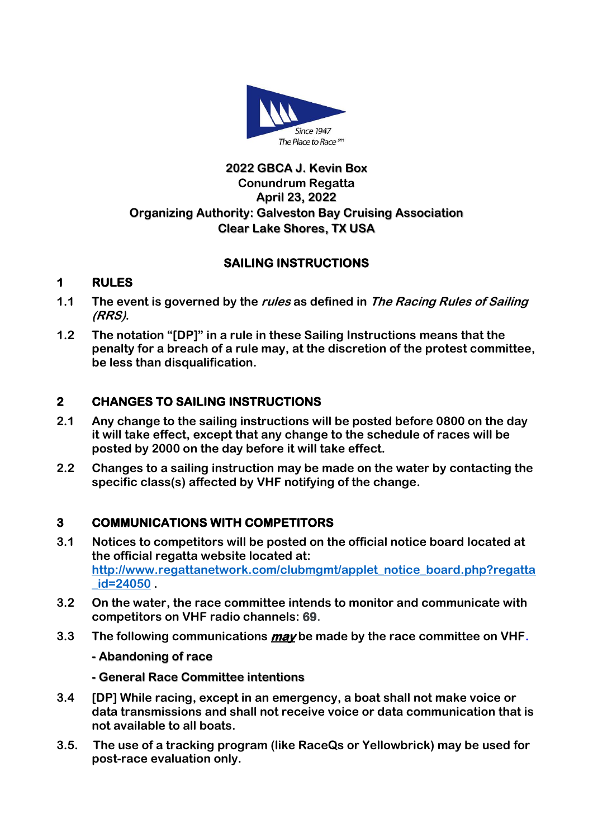

## **2022 GBCA J. Kevin Box Conundrum Regatta April 23, 2022 Organizing Authority: Galveston Bay Cruising Association Clear Lake Shores, TX USA**

# **SAILING INSTRUCTIONS**

# **1 RULES**

- **1.1 The event is governed by the rules as defined in The Racing Rules of Sailing (RRS).**
- **1.2 The notation "[DP]" in a rule in these Sailing Instructions means that the penalty for a breach of a rule may, at the discretion of the protest committee, be less than disqualification.**

# **2 CHANGES TO SAILING INSTRUCTIONS**

- **2.1 Any change to the sailing instructions will be posted before 0800 on the day it will take effect, except that any change to the schedule of races will be posted by 2000 on the day before it will take effect.**
- **2.2 Changes to a sailing instruction may be made on the water by contacting the specific class(s) affected by VHF notifying of the change.**

## **3 COMMUNICATIONS WITH COMPETITORS**

- **3.1 Notices to competitors will be posted on the official notice board located at the official regatta website located at: [http://www.regattanetwork.com/clubmgmt/applet\\_notice\\_board.php?regatta](http://www.regattanetwork.com/clubmgmt/applet_notice_board.php?regatta_id=24050) [\\_id=24050](http://www.regattanetwork.com/clubmgmt/applet_notice_board.php?regatta_id=24050) .**
- **3.2 On the water, the race committee intends to monitor and communicate with competitors on VHF radio channels: 69.**
- **3.3 The following communications may be made by the race committee on VHF.**
	- **- Abandoning of race**
	- **- General Race Committee intentions**
- **3.4 [DP] While racing, except in an emergency, a boat shall not make voice or data transmissions and shall not receive voice or data communication that is not available to all boats.**
- **3.5. The use of a tracking program (like RaceQs or Yellowbrick) may be used for post-race evaluation only.**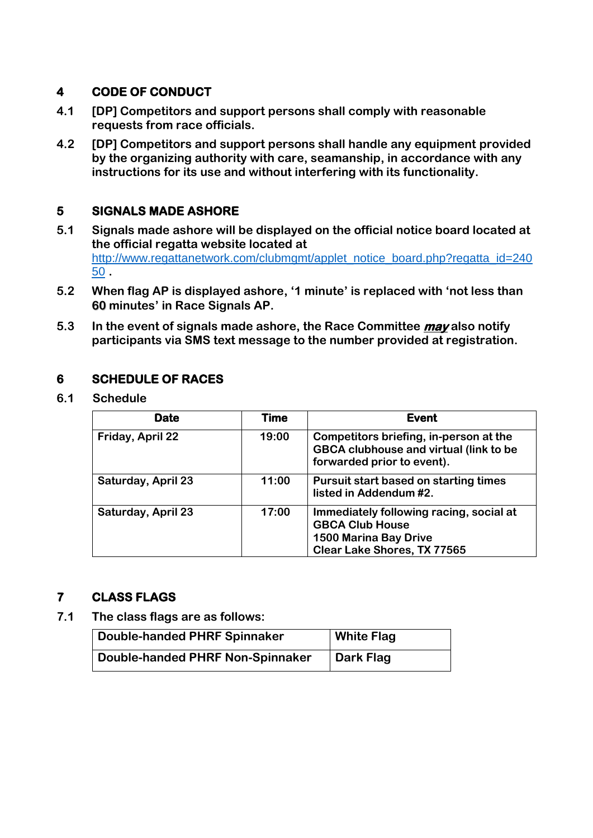## **4 CODE OF CONDUCT**

- **4.1 [DP] Competitors and support persons shall comply with reasonable requests from race officials.**
- **4.2 [DP] Competitors and support persons shall handle any equipment provided by the organizing authority with care, seamanship, in accordance with any instructions for its use and without interfering with its functionality.**

# **5 SIGNALS MADE ASHORE**

- **5.1 Signals made ashore will be displayed on the official notice board located at the official regatta website located at**  [http://www.regattanetwork.com/clubmgmt/applet\\_notice\\_board.php?regatta\\_id=240](http://www.regattanetwork.com/clubmgmt/applet_notice_board.php?regatta_id=24050) [50](http://www.regattanetwork.com/clubmgmt/applet_notice_board.php?regatta_id=24050) **.**
- **5.2 When flag AP is displayed ashore, '1 minute' is replaced with 'not less than 60 minutes' in Race Signals AP.**
- **5.3 In the event of signals made ashore, the Race Committee may also notify participants via SMS text message to the number provided at registration.**

## **6 SCHEDULE OF RACES**

**6.1 Schedule** 

| <b>Date</b>               | Time  | <b>Event</b>                                                                                                                     |
|---------------------------|-------|----------------------------------------------------------------------------------------------------------------------------------|
| Friday, April 22          | 19:00 | Competitors briefing, in-person at the<br><b>GBCA clubhouse and virtual (link to be</b><br>forwarded prior to event).            |
| <b>Saturday, April 23</b> | 11:00 | Pursuit start based on starting times<br>listed in Addendum #2.                                                                  |
| <b>Saturday, April 23</b> | 17:00 | Immediately following racing, social at<br><b>GBCA Club House</b><br><b>1500 Marina Bay Drive</b><br>Clear Lake Shores, TX 77565 |

## **7 CLASS FLAGS**

**7.1 The class flags are as follows:** 

| <b>Double-handed PHRF Spinnaker</b> | <b>White Flag</b> |
|-------------------------------------|-------------------|
| Double-handed PHRF Non-Spinnaker    | Dark Flag         |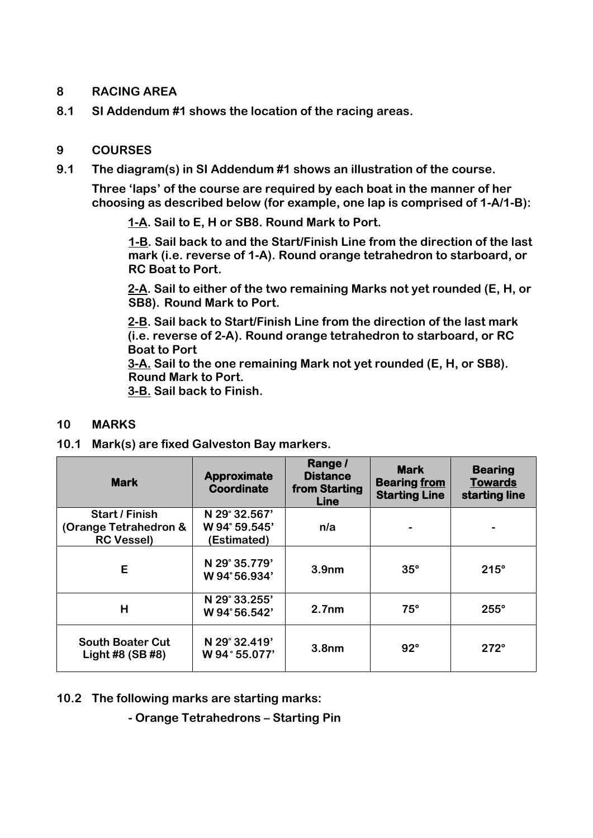#### **8 RACING AREA**

**8.1 SI Addendum #1 shows the location of the racing areas.**

## **9 COURSES**

**9.1 The diagram(s) in SI Addendum #1 shows an illustration of the course.** 

**Three 'laps' of the course are required by each boat in the manner of her choosing as described below (for example, one lap is comprised of 1-A/1-B):**

**1-A. Sail to E, H or SB8. Round Mark to Port.** 

**1-B. Sail back to and the Start/Finish Line from the direction of the last mark (i.e. reverse of 1-A). Round orange tetrahedron to starboard, or RC Boat to Port.**

**2-A. Sail to either of the two remaining Marks not yet rounded (E, H, or SB8). Round Mark to Port.** 

**2-B. Sail back to Start/Finish Line from the direction of the last mark (i.e. reverse of 2-A). Round orange tetrahedron to starboard, or RC Boat to Port**

**3-A. Sail to the one remaining Mark not yet rounded (E, H, or SB8). Round Mark to Port.** 

**3-B. Sail back to Finish.** 

#### **10 MARKS**

**10.1 Mark(s) are fixed Galveston Bay markers.**

| <b>Mark</b>                                                         | <b>Approximate</b><br>Coordinate              | Range /<br><b>Distance</b><br>from Starting<br><b>Line</b> | <b>Mark</b><br><b>Bearing from</b><br><b>Starting Line</b> | <b>Bearing</b><br><b>Towards</b><br>starting line |  |  |
|---------------------------------------------------------------------|-----------------------------------------------|------------------------------------------------------------|------------------------------------------------------------|---------------------------------------------------|--|--|
| <b>Start / Finish</b><br>(Orange Tetrahedron &<br><b>RC Vessel)</b> | N 29° 32.567'<br>W 94° 59.545'<br>(Estimated) | n/a                                                        |                                                            |                                                   |  |  |
| E                                                                   | N 29° 35.779'<br>W 94°56.934'                 | 3.9 <sub>nm</sub>                                          | $35^\circ$                                                 | $215^\circ$                                       |  |  |
| H                                                                   | N 29° 33.255'<br>W 94°56.542'                 | 2.7 <sub>nm</sub>                                          | $75^\circ$                                                 | $255^\circ$                                       |  |  |
| <b>South Boater Cut</b><br>Light #8 (SB #8)                         | N 29° 32.419'<br>W 94°55.077'                 | 3.8 <sub>nm</sub>                                          | $92^\circ$                                                 | $272^\circ$                                       |  |  |

**10.2 The following marks are starting marks:**

**- Orange Tetrahedrons – Starting Pin**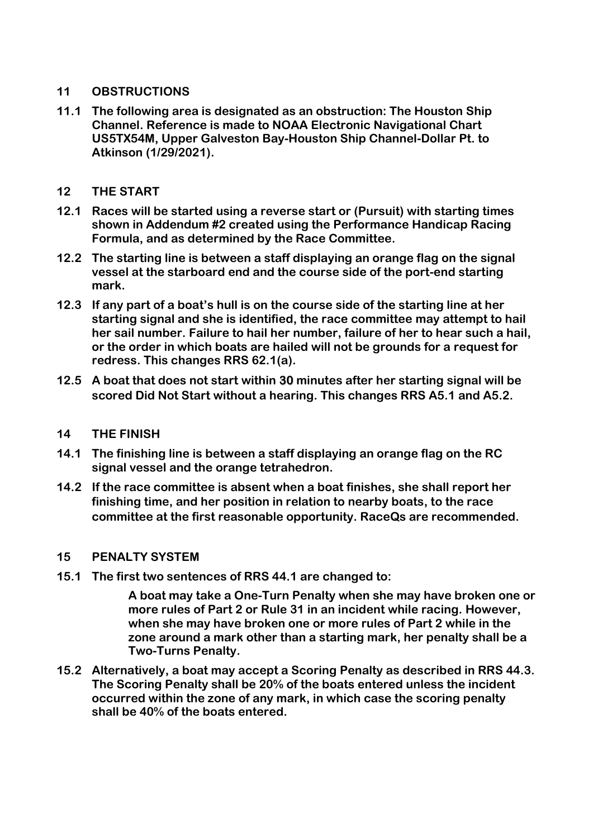#### **11 OBSTRUCTIONS**

**11.1 The following area is designated as an obstruction: The Houston Ship Channel. Reference is made to NOAA Electronic Navigational Chart US5TX54M, Upper Galveston Bay-Houston Ship Channel-Dollar Pt. to Atkinson (1/29/2021).**

#### **12 THE START**

- **12.1 Races will be started using a reverse start or (Pursuit) with starting times shown in Addendum #2 created using the Performance Handicap Racing Formula, and as determined by the Race Committee.**
- **12.2 The starting line is between a staff displaying an orange flag on the signal vessel at the starboard end and the course side of the port-end starting mark.**
- **12.3 If any part of a boat's hull is on the course side of the starting line at her starting signal and she is identified, the race committee may attempt to hail her sail number. Failure to hail her number, failure of her to hear such a hail, or the order in which boats are hailed will not be grounds for a request for redress. This changes RRS 62.1(a).**
- **12.5 A boat that does not start within 30 minutes after her starting signal will be scored Did Not Start without a hearing. This changes RRS A5.1 and A5.2.**

#### **14 THE FINISH**

- **14.1 The finishing line is between a staff displaying an orange flag on the RC signal vessel and the orange tetrahedron.**
- **14.2 If the race committee is absent when a boat finishes, she shall report her finishing time, and her position in relation to nearby boats, to the race committee at the first reasonable opportunity. RaceQs are recommended.**

#### **15 PENALTY SYSTEM**

**15.1 The first two sentences of RRS 44.1 are changed to:**

**A boat may take a One-Turn Penalty when she may have broken one or more rules of Part 2 or Rule 31 in an incident while racing. However, when she may have broken one or more rules of Part 2 while in the zone around a mark other than a starting mark, her penalty shall be a Two-Turns Penalty.**

**15.2 Alternatively, a boat may accept a Scoring Penalty as described in RRS 44.3. The Scoring Penalty shall be 20% of the boats entered unless the incident occurred within the zone of any mark, in which case the scoring penalty shall be 40% of the boats entered.**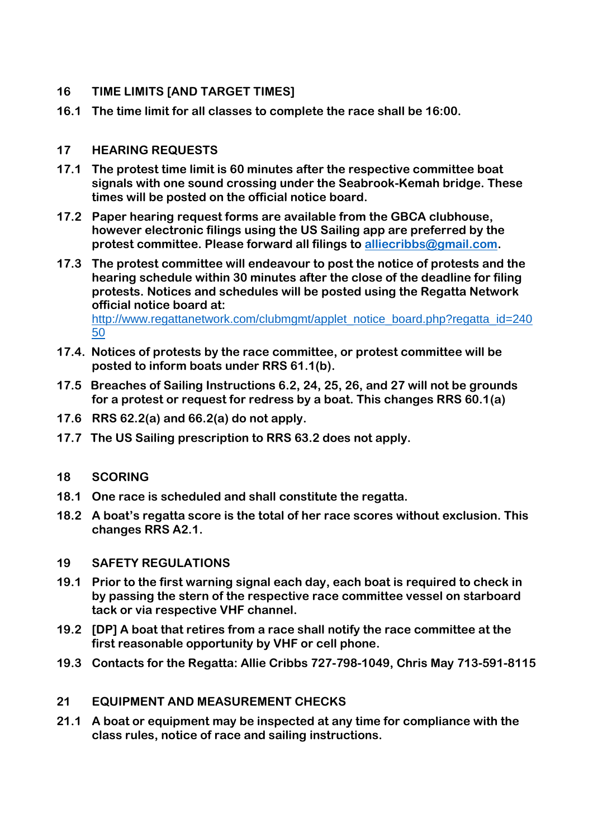## **16 TIME LIMITS [AND TARGET TIMES]**

**16.1 The time limit for all classes to complete the race shall be 16:00.**

#### **17 HEARING REQUESTS**

- **17.1 The protest time limit is 60 minutes after the respective committee boat signals with one sound crossing under the Seabrook-Kemah bridge. These times will be posted on the official notice board.**
- **17.2 Paper hearing request forms are available from the GBCA clubhouse, however electronic filings using the US Sailing app are preferred by the protest committee. Please forward all filings to [alliecribbs@gmail.com.](mailto:may.chris.w@gmail.com)**
- **17.3 The protest committee will endeavour to post the notice of protests and the hearing schedule within 30 minutes after the close of the deadline for filing protests. Notices and schedules will be posted using the Regatta Network official notice board at:**

[http://www.regattanetwork.com/clubmgmt/applet\\_notice\\_board.php?regatta\\_id=240](http://www.regattanetwork.com/clubmgmt/applet_notice_board.php?regatta_id=24050) [50](http://www.regattanetwork.com/clubmgmt/applet_notice_board.php?regatta_id=24050)

- **17.4. Notices of protests by the race committee, or protest committee will be posted to inform boats under RRS 61.1(b).**
- **17.5 Breaches of Sailing Instructions 6.2, 24, 25, 26, and 27 will not be grounds for a protest or request for redress by a boat. This changes RRS 60.1(a)**
- **17.6 RRS 62.2(a) and 66.2(a) do not apply.**
- **17.7 The US Sailing prescription to RRS 63.2 does not apply.**

#### **18 SCORING**

- **18.1 One race is scheduled and shall constitute the regatta.**
- **18.2 A boat's regatta score is the total of her race scores without exclusion. This changes RRS A2.1.**

#### **19 SAFETY REGULATIONS**

- **19.1 Prior to the first warning signal each day, each boat is required to check in by passing the stern of the respective race committee vessel on starboard tack or via respective VHF channel.**
- **19.2 [DP] A boat that retires from a race shall notify the race committee at the first reasonable opportunity by VHF or cell phone.**
- **19.3 Contacts for the Regatta: Allie Cribbs 727-798-1049, Chris May 713-591-8115**

#### **21 EQUIPMENT AND MEASUREMENT CHECKS**

**21.1 A boat or equipment may be inspected at any time for compliance with the class rules, notice of race and sailing instructions.**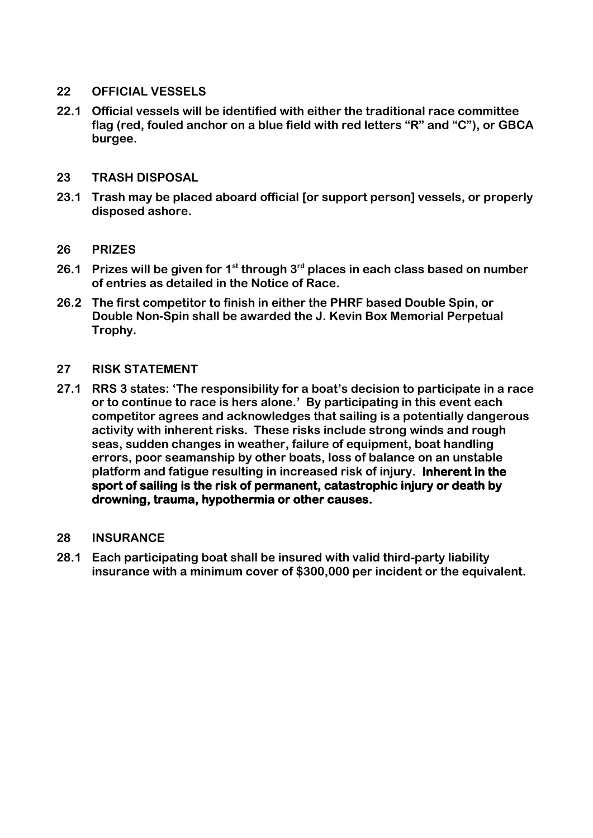#### **22 OFFICIAL VESSELS**

**22.1 Official vessels will be identified with either the traditional race committee flag (red, fouled anchor on a blue field with red letters "R" and "C"), or GBCA burgee.**

#### **23 TRASH DISPOSAL**

**23.1 Trash may be placed aboard official [or support person] vessels, or properly disposed ashore.**

#### **26 PRIZES**

- **26.1 Prizes will be given for 1st through 3rd places in each class based on number of entries as detailed in the Notice of Race.**
- **26.2 The first competitor to finish in either the PHRF based Double Spin, or Double Non-Spin shall be awarded the J. Kevin Box Memorial Perpetual Trophy.**

#### **27 RISK STATEMENT**

**27.1 RRS 3 states: 'The responsibility for a boat's decision to participate in a race or to continue to race is hers alone.' By participating in this event each competitor agrees and acknowledges that sailing is a potentially dangerous activity with inherent risks. These risks include strong winds and rough seas, sudden changes in weather, failure of equipment, boat handling errors, poor seamanship by other boats, loss of balance on an unstable platform and fatigue resulting in increased risk of injury. Inherent in the sport of sailing is the risk of permanent, catastrophic injury or death by drowning, trauma, hypothermia or other causes.**

#### **28 INSURANCE**

**28.1 Each participating boat shall be insured with valid third-party liability insurance with a minimum cover of \$300,000 per incident or the equivalent.**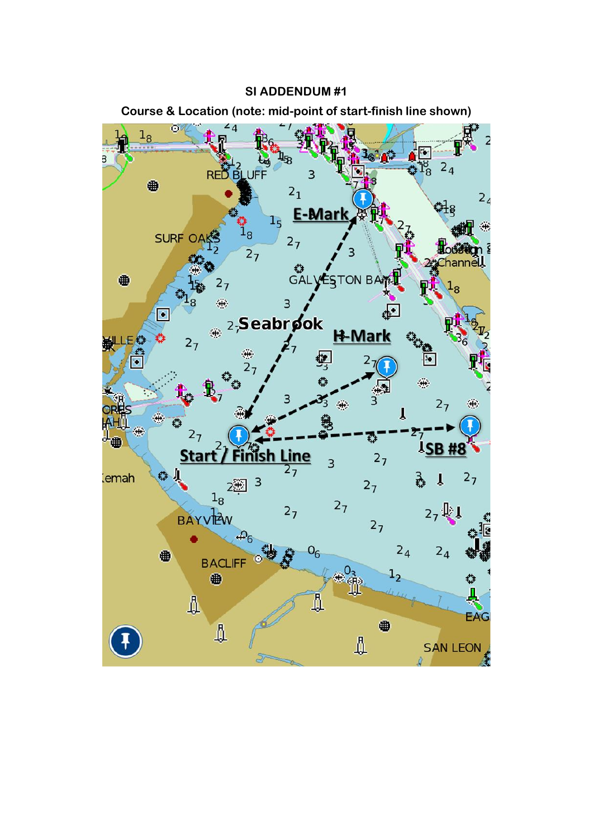**SI ADDENDUM #1**



**Course & Location (note: mid-point of start-finish line shown)**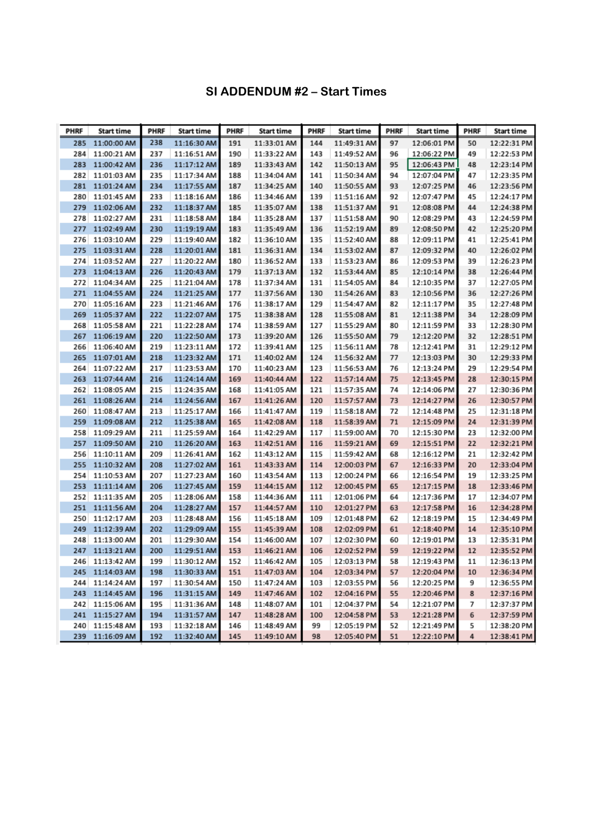## **SI ADDENDUM #2 – Start Times**

| <b>PHRF</b> | <b>Start time</b> | <b>PHRF</b> | <b>Start time</b> | <b>PHRF</b> | <b>Start time</b> | <b>PHRF</b> | <b>Start time</b> | <b>PHRF</b> | <b>Start time</b> | <b>PHRF</b> | <b>Start time</b> |
|-------------|-------------------|-------------|-------------------|-------------|-------------------|-------------|-------------------|-------------|-------------------|-------------|-------------------|
| 285         | 11:00:00 AM       | 238         | 11:16:30 AM       | 191         | 11:33:01 AM       | 144         | 11:49:31 AM       | 97          | 12:06:01 PM       | 50          | 12:22:31 PM       |
| 284         | 11:00:21 AM       | 237         | 11:16:51 AM       | 190         | 11:33:22 AM       | 143         | 11:49:52 AM       | 96          | 12:06:22 PM       | 49          | 12:22:53 PM       |
| 283         | 11:00:42 AM       | 236         | 11:17:12 AM       | 189         | 11:33:43 AM       | 142         | 11:50:13 AM       | 95          | 12:06:43 PM       | 48          | 12:23:14 PM       |
| 282         | 11:01:03 AM       | 235         | 11:17:34 AM       | 188         | 11:34:04 AM       | 141         | 11:50:34 AM       | 94          | 12:07:04 PM       | 47          | 12:23:35 PM       |
| 281         | 11:01:24 AM       | 234         | 11:17:55 AM       | 187         | 11:34:25 AM       | 140         | 11:50:55 AM       | 93          | 12:07:25 PM       | 46          | 12:23:56 PM       |
| 280         | 11:01:45 AM       | 233         | 11:18:16 AM       | 186         | 11:34:46 AM       | 139         | 11:51:16 AM       | 92          | 12:07:47 PM       | 45          | 12:24:17 PM       |
| 279         | 11:02:06 AM       | 232         | 11:18:37 AM       | 185         | 11:35:07 AM       | 138         | 11:51:37 AM       | 91          | 12:08:08 PM       | 44          | 12:24:38 PM       |
| 278         | 11:02:27 AM       | 231         | 11:18:58 AM       | 184         | 11:35:28 AM       | 137         | 11:51:58 AM       | 90          | 12:08:29 PM       | 43          | 12:24:59 PM       |
| 277         | 11:02:49 AM       | 230         | 11:19:19 AM       | 183         | 11:35:49 AM       | 136         | 11:52:19 AM       | 89          | 12:08:50 PM       | 42          | 12:25:20 PM       |
| 276         | 11:03:10 AM       | 229         | 11:19:40 AM       | 182         | 11:36:10 AM       | 135         | 11:52:40 AM       | 88          | 12:09:11 PM       | 41          | 12:25:41 PM       |
| 275         | 11:03:31 AM       | 228         | 11:20:01 AM       | 181         | 11:36:31 AM       | 134         | 11:53:02 AM       | 87          | 12:09:32 PM       | 40          | 12:26:02 PM       |
| 274         | 11:03:52 AM       | 227         | 11:20:22 AM       | 180         | 11:36:52 AM       | 133         | 11:53:23 AM       | 86          | 12:09:53 PM       | 39          | 12:26:23 PM       |
| 273         | 11:04:13 AM       | 226         | 11:20:43 AM       | 179         | 11:37:13 AM       | 132         | 11:53:44 AM       | 85          | 12:10:14 PM       | 38          | 12:26:44 PM       |
| 272         | 11:04:34 AM       | 225         | 11:21:04 AM       | 178         | 11:37:34 AM       | 131         | 11:54:05 AM       | 84          | 12:10:35 PM       | 37          | 12:27:05 PM       |
| 271         | 11:04:55 AM       | 224         | 11:21:25 AM       | 177         | 11:37:56 AM       | 130         | 11:54:26 AM       | 83          | 12:10:56 PM       | 36          | 12:27:26 PM       |
| 270         | 11:05:16 AM       | 223         | 11:21:46 AM       | 176         | 11:38:17 AM       | 129         | 11:54:47 AM       | 82          | 12:11:17 PM       | 35          | 12:27:48 PM       |
| 269         | 11:05:37 AM       | 222         | 11:22:07 AM       | 175         | 11:38:38 AM       | 128         | 11:55:08 AM       | 81          | 12:11:38 PM       | 34          | 12:28:09 PM       |
| 268         | 11:05:58 AM       | 221         | 11:22:28 AM       | 174         | 11:38:59 AM       | 127         | 11:55:29 AM       | 80          | 12:11:59 PM       | 33          | 12:28:30 PM       |
| 267         | 11:06:19 AM       | 220         | 11:22:50 AM       | 173         | 11:39:20 AM       | 126         | 11:55:50 AM       | 79          | 12:12:20 PM       | 32          | 12:28:51 PM       |
| 266         | 11:06:40 AM       | 219         | 11:23:11 AM       | 172         | 11:39:41 AM       | 125         | 11:56:11 AM       | 78          | 12:12:41 PM       | 31          | 12:29:12 PM       |
| 265         | 11:07:01 AM       | 218         | 11:23:32 AM       | 171         | 11:40:02 AM       | 124         | 11:56:32 AM       | 77          | 12:13:03 PM       | 30          | 12:29:33 PM       |
| 264         | 11:07:22 AM       | 217         | 11:23:53 AM       | 170         | 11:40:23 AM       | 123         | 11:56:53 AM       | 76          | 12:13:24 PM       | 29          | 12:29:54 PM       |
| 263         | 11:07:44 AM       | 216         | 11:24:14 AM       | 169         | 11:40:44 AM       | 122         | 11:57:14 AM       | 75          | 12:13:45 PM       | 28          | 12:30:15 PM       |
| 262         | 11:08:05 AM       | 215         | 11:24:35 AM       | 168         | 11:41:05 AM       | 121         | 11:57:35 AM       | 74          | 12:14:06 PM       | 27          | 12:30:36 PM       |
| 261         | 11:08:26 AM       | 214         | 11:24:56 AM       | 167         | 11:41:26 AM       | 120         | 11:57:57 AM       | 73          | 12:14:27 PM       | 26          | 12:30:57 PM       |
| 260         | 11:08:47 AM       | 213         | 11:25:17 AM       | 166         | 11:41:47 AM       | 119         | 11:58:18 AM       | 72          | 12:14:48 PM       | 25          | 12:31:18 PM       |
| 259         | 11:09:08 AM       | 212         | 11:25:38 AM       | 165         | 11:42:08 AM       | 118         | 11:58:39 AM       | 71          | 12:15:09 PM       | 24          | 12:31:39 PM       |
| 258         | 11:09:29 AM       | 211         | 11:25:59 AM       | 164         | 11:42:29 AM       | 117         | 11:59:00 AM       | 70          | 12:15:30 PM       | 23          | 12:32:00 PM       |
| 257         | 11:09:50 AM       | 210         | 11:26:20 AM       | 163         | 11:42:51 AM       | 116         | 11:59:21 AM       | 69          | 12:15:51 PM       | 22          | 12:32:21 PM       |
| 256         | 11:10:11 AM       | 209         | 11:26:41 AM       | 162         | 11:43:12 AM       | 115         | 11:59:42 AM       | 68          | 12:16:12 PM       | 21          | 12:32:42 PM       |
| 255         | 11:10:32 AM       | 208         | 11:27:02 AM       | 161         | 11:43:33 AM       | 114         | 12:00:03 PM       | 67          | 12:16:33 PM       | 20          | 12:33:04 PM       |
| 254         | 11:10:53 AM       | 207         | 11:27:23 AM       | 160         | 11:43:54 AM       | 113         | 12:00:24 PM       | 66          | 12:16:54 PM       | 19          | 12:33:25 PM       |
| 253         | 11:11:14 AM       | 206         | 11:27:45 AM       | 159         | 11:44:15 AM       | 112         | 12:00:45 PM       | 65          | 12:17:15 PM       | 18          | 12:33:46 PM       |
| 252         | 11:11:35 AM       | 205         | 11:28:06 AM       | 158         | 11:44:36 AM       | 111         | 12:01:06 PM       | 64          | 12:17:36 PM       | 17          | 12:34:07 PM       |
| 251         | 11:11:56 AM       | 204         | 11:28:27 AM       | 157         | 11:44:57 AM       | 110         | 12:01:27 PM       | 63          | 12:17:58 PM       | 16          | 12:34:28 PM       |
| 250         | 11:12:17 AM       | 203         | 11:28:48 AM       | 156         | 11:45:18 AM       | 109         | 12:01:48 PM       | 62          | 12:18:19 PM       | 15          | 12:34:49 PM       |
| 249         | 11:12:39 AM       | 202         | 11:29:09 AM       | 155         | 11:45:39 AM       | 108         | 12:02:09 PM       | 61          | 12:18:40 PM       | 14          | 12:35:10 PM       |
| 248         | 11:13:00 AM       | 201         | 11:29:30 AM       | 154         | 11:46:00 AM       | 107         | 12:02:30 PM       | 60          | 12:19:01 PM       | 13          | 12:35:31 PM       |
| 247         | 11:13:21 AM       | 200         | 11:29:51 AM       | 153         | 11:46:21 AM       | 106         | 12:02:52 PM       | 59          | 12:19:22 PM       | 12          | 12:35:52 PM       |
| 246         | 11:13:42 AM       | 199         | 11:30:12 AM       | 152         | 11:46:42 AM       | 105         | 12:03:13 PM       | 58          | 12:19:43 PM       | 11          | 12:36:13 PM       |
| 245         | 11:14:03 AM       | 198         | 11:30:33 AM       | 151         | 11:47:03 AM       | 104         | 12:03:34 PM       | 57          | 12:20:04 PM       | 10          | 12:36:34 PM       |
| 244         | 11:14:24 AM       | 197         | 11:30:54 AM       | 150         | 11:47:24 AM       | 103         | 12:03:55 PM       | 56          | 12:20:25 PM       | 9           | 12:36:55 PM       |
| 243         | 11:14:45 AM       | 196         | 11:31:15 AM       | 149         | 11:47:46 AM       | 102         | 12:04:16 PM       | 55          | 12:20:46 PM       | 8           | 12:37:16 PM       |
| 242         | 11:15:06 AM       | 195         | 11:31:36 AM       | 148         | 11:48:07 AM       | 101         | 12:04:37 PM       | 54          | 12:21:07 PM       | 7           | 12:37:37 PM       |
| 241         | 11:15:27 AM       | 194         | 11:31:57 AM       | 147         | 11:48:28 AM       | 100         | 12:04:58 PM       | 53          | 12:21:28 PM       | 6           | 12:37:59 PM       |
| 240         | 11:15:48 AM       | 193         | 11:32:18 AM       | 146         | 11:48:49 AM       | 99          | 12:05:19 PM       | 52          | 12:21:49 PM       | 5           | 12:38:20 PM       |
| 239         | 11:16:09 AM       | 192         | 11:32:40 AM       | 145         | 11:49:10 AM       | 98          | 12:05:40 PM       | 51          | 12:22:10 PM       | 4           | 12:38:41 PM       |